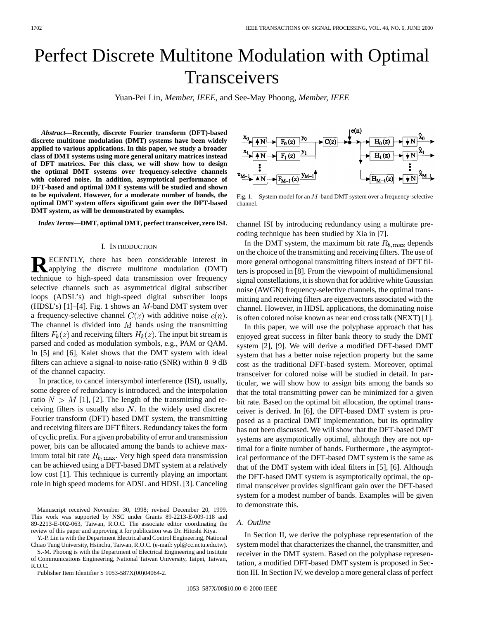# Perfect Discrete Multitone Modulation with Optimal Transceivers

Yuan-Pei Lin*, Member, IEEE,* and See-May Phoong*, Member, IEEE*

*Abstract—***Recently, discrete Fourier transform (DFT)-based discrete multitone modulation (DMT) systems have been widely applied to various applications. In this paper, we study a broader class of DMT systems using more general unitary matrices instead of DFT matrices. For this class, we will show how to design the optimal DMT systems over frequency-selective channels with colored noise. In addition, asymptotical performance of DFT-based and optimal DMT systems will be studied and shown to be equivalent. However, for a moderate number of bands, the optimal DMT system offers significant gain over the DFT-based DMT system, as will be demonstrated by examples.**

*Index Terms—***DMT, optimal DMT, perfect transceiver, zero ISI.**

#### I. INTRODUCTION

**RECENTLY**, there has been considerable interest in applying the discrete in Wi applying the discrete multitone modulation (DMT) technique to high-speed data transmission over frequency selective channels such as asymmetrical digital subscriber loops (ADSL's) and high-speed digital subscriber loops (HDSL's) [1]–[4]. Fig. 1 shows an  $M$ -band DMT system over a frequency-selective channel  $C(z)$  with additive noise  $e(n)$ . The channel is divided into  $M$  bands using the transmitting filters  $F_k(z)$  and receiving filters  $H_k(z)$ . The input bit stream is parsed and coded as modulation symbols, e.g., PAM or QAM. In [5] and [6], Kalet shows that the DMT system with ideal filters can achieve a signal-to noise-ratio (SNR) within 8–9 dB of the channel capacity.

In practice, to cancel intersymbol interference (ISI), usually, some degree of redundancy is introduced, and the interpolation ratio  $N > M$  [1], [2]. The length of the transmitting and receiving filters is usually also  $N$ . In the widely used discrete Fourier transform (DFT) based DMT system, the transmitting and receiving filters are DFT filters. Redundancy takes the form of cyclic prefix. For a given probability of error and transmission power, bits can be allocated among the bands to achieve maximum total bit rate  $R_{b, \text{max}}$ . Very high speed data transmission can be achieved using a DFT-based DMT system at a relatively low cost [1]. This technique is currently playing an important role in high speed modems for ADSL and HDSL [3]. Canceling

Manuscript received November 30, 1998; revised December 20, 1999. This work was supported by NSC under Grants 89-2213-E-009-118 and 89-2213-E-002-063, Taiwan, R.O.C. The associate editor coordinating the review of this paper and approving it for publication was Dr. Hitoshi Kiya.

Y.-P. Lin is with the Department Electrical and Control Engineering, National Chiao Tung University, Hsinchu, Taiwan, R.O.C. (e-mail: ypl@cc.nctu.edu.tw).

S.-M. Phoong is with the Department of Electrical Engineering and Institute of Communications Engineering, National Taiwan University, Taipei, Taiwan, R.O.C.

Publisher Item Identifier S 1053-587X(00)04064-2.



Fig. 1. System model for an M-band DMT system over a frequency-selective channel.

channel ISI by introducing redundancy using a multirate precoding technique has been studied by Xia in [7].

In the DMT system, the maximum bit rate  $R_{b, \text{max}}$  depends on the choice of the transmitting and receiving filters. The use of more general orthogonal transmitting filters instead of DFT filters is proposed in [8]. From the viewpoint of multidimensional signal constellations, it is shown that for additive white Gaussian noise (AWGN) frequency-selective channels, the optimal transmitting and receiving filters are eigenvectors associated with the channel. However, in HDSL applications, the dominating noise is often colored noise known as near end cross talk (NEXT) [1].

In this paper, we will use the polyphase approach that has enjoyed great success in filter bank theory to study the DMT system [2], [9]. We will derive a modified DFT-based DMT system that has a better noise rejection property but the same cost as the traditional DFT-based system. Moreover, optimal transceiver for colored noise will be studied in detail. In particular, we will show how to assign bits among the bands so that the total transmitting power can be minimized for a given bit rate. Based on the optimal bit allocation, the optimal transceiver is derived. In [6], the DFT-based DMT system is proposed as a practical DMT implementation, but its optimality has not been discussed. We will show that the DFT-based DMT systems are asymptotically optimal, although they are not optimal for a finite number of bands. Furthermore , the asymptotical performance of the DFT-based DMT system is the same as that of the DMT system with ideal filters in [5], [6]. Although the DFT-based DMT system is asymptotically optimal, the optimal transceiver provides significant gain over the DFT-based system for a modest number of bands. Examples will be given to demonstrate this.

## *A. Outline*

In Section II, we derive the polyphase representation of the system model that characterizes the channel, the transmitter, and receiver in the DMT system. Based on the polyphase representation, a modified DFT-based DMT system is proposed in Section III. In Section IV, we develop a more general class of perfect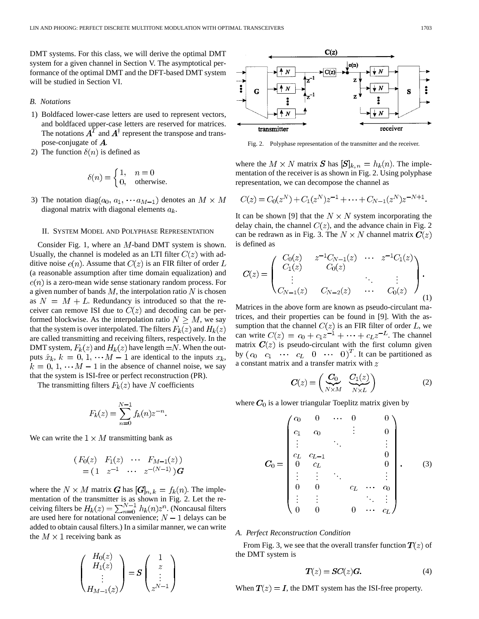DMT systems. For this class, we will derive the optimal DMT system for a given channel in Section V. The asymptotical performance of the optimal DMT and the DFT-based DMT system will be studied in Section VI.

#### *B. Notations*

- 1) Boldfaced lower-case letters are used to represent vectors, and boldfaced upper-case letters are reserved for matrices. The notations  $A<sup>T</sup>$  and  $A<sup>\dagger</sup>$  represent the transpose and transpose-conjugate of  $\boldsymbol{A}$ .
- 2) The function  $\delta(n)$  is defined as

$$
\delta(n) = \begin{cases} 1, & n = 0 \\ 0, & \text{otherwise.} \end{cases}
$$

3) The notation diag( $a_0, a_1, \cdots a_{M-1}$ ) denotes an  $M \times M$ diagonal matrix with diagonal elements  $a_k$ .

#### II. SYSTEM MODEL AND POLYPHASE REPRESENTATION

Consider Fig. 1, where an  $M$ -band DMT system is shown. Usually, the channel is modeled as an LTI filter  $C(z)$  with additive noise  $e(n)$ . Assume that  $C(z)$  is an FIR filter of order L (a reasonable assumption after time domain equalization) and  $e(n)$  is a zero-mean wide sense stationary random process. For a given number of bands  $M$ , the interpolation ratio  $N$  is chosen as  $N = M + L$ . Redundancy is introduced so that the receiver can remove ISI due to  $C(z)$  and decoding can be performed blockwise. As the interpolation ratio  $N \geq M$ , we say that the system is over interpolated. The filters  $F_k(z)$  and  $H_k(z)$ are called transmitting and receiving filters, respectively. In the DMT system,  $F_k(z)$  and  $H_k(z)$  have length  $=N$ . When the outputs  $\hat{x}_k$ ,  $k = 0, 1, \dots M - 1$  are identical to the inputs  $x_k$ ,  $k = 0, 1, \dots M - 1$  in the absence of channel noise, we say that the system is ISI-free or perfect reconstruction (PR).

The transmitting filters  $F_k(z)$  have N coefficients

$$
F_k(z) = \sum_{n=0}^{N-1} f_k(n) z^{-n}.
$$

We can write the  $1 \times M$  transmitting bank as

$$
(F_0(z) \ F_1(z) \cdots F_{M-1}(z))
$$
  
=  $(1 \ z^{-1} \cdots z^{-(N-1)})$ G

where the  $N \times M$  matrix G has  $[G]_{n,k} = f_k(n)$ . The implementation of the transmitter is as shown in Fig. 2. Let the receiving filters be  $H_k(z) = \sum_{n=0}^{N-1} h_k(n) z^n$ . (Noncausal filters are used here for notational convenience;  $N-1$  delays can be added to obtain causal filters.) In a similar manner, we can write the  $M \times 1$  receiving bank as

$$
\begin{pmatrix} H_0(z) \\ H_1(z) \\ \vdots \\ H_{M-1}(z) \end{pmatrix} = \mathbf{S} \begin{pmatrix} 1 \\ z \\ \vdots \\ z^{N-1} \end{pmatrix}
$$



Fig. 2. Polyphase representation of the transmitter and the receiver.

where the  $M \times N$  matrix S has  $[S]_{k,n} = h_k(n)$ . The implementation of the receiver is as shown in Fig. 2. Using polyphase representation, we can decompose the channel as

$$
C(z) = C_0(z^N) + C_1(z^N)z^{-1} + \dots + C_{N-1}(z^N)z^{-N+1}.
$$

It can be shown [9] that the  $N \times N$  system incorporating the delay chain, the channel  $C(z)$ , and the advance chain in Fig. 2 can be redrawn as in Fig. 3. The  $N \times N$  channel matrix  $C(z)$ is defined as

$$
C(z) = \begin{pmatrix} C_0(z) & z^{-1}C_{N-1}(z) & \cdots & z^{-1}C_1(z) \\ C_1(z) & C_0(z) & \cdots & \vdots \\ \vdots & \ddots & \vdots \\ C_{N-1}(z) & C_{N-2}(z) & \cdots & C_0(z) \end{pmatrix}.
$$
 (1)

Matrices in the above form are known as pseudo-circulant matrices, and their properties can be found in [9]. With the assumption that the channel  $C(z)$  is an FIR filter of order L, we can write  $C(z) = c_0 + c_1 z^{-1} + \cdots + c_L z^{-L}$ . The channel matrix  $C(z)$  is pseudo-circulant with the first column given by  $(c_0 \quad c_1 \quad \cdots \quad c_L \quad 0 \quad \cdots \quad 0)^T$ . It can be partitioned as a constant matrix and a transfer matrix with  $z$ 

$$
C(z) = \begin{pmatrix} C_0 & C_1(z) \\ \sqrt{N \times M} & \sqrt{N \times L} \end{pmatrix}
$$
 (2)

where  $C_0$  is a lower triangular Toeplitz matrix given by

$$
C_0 = \begin{pmatrix} c_0 & 0 & \cdots & 0 & & 0 \\ c_1 & c_0 & & \vdots & & 0 \\ \vdots & & \ddots & & \vdots & \\ c_L & c_{L-1} & & & 0 & \\ 0 & c_L & & & 0 & \\ \vdots & \vdots & & \ddots & & \vdots \\ 0 & 0 & & c_L & \cdots & c_0 \\ \vdots & \vdots & & & \ddots & \vdots \\ 0 & 0 & & 0 & \cdots & c_I \end{pmatrix} .
$$
 (3)

## *A. Perfect Reconstruction Condition*

From Fig. 3, we see that the overall transfer function  $T(z)$  of the DMT system is

$$
T(z) = SC(z)G.
$$
 (4)

When  $T(z) = I$ , the DMT system has the ISI-free property.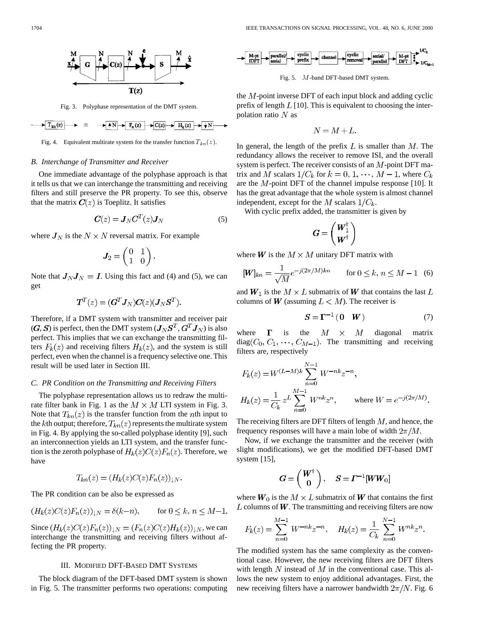

Fig. 3. Polyphase representation of the DMT system.

$$
\longrightarrow T_{kn}(z) \longrightarrow \equiv \longrightarrow \boxed{+N} \rightarrow F_n(z) \longrightarrow C(z) \rightarrow H_k(z) \rightarrow \boxed{N}
$$

Fig. 4. Equivalent multirate system for the transfer function  $T_{kn}(z)$ .

## *B. Interchange of Transmitter and Receiver*

One immediate advantage of the polyphase approach is that it tells us that we can interchange the transmitting and receiving filters and still preserve the PR property. To see this, observe that the matrix  $C(z)$  is Toeplitz. It satisfies

$$
C(z) = J_N C^T(z) J_N \tag{5}
$$

where  $J_N$  is the  $N \times N$  reversal matrix. For example

$$
\boldsymbol{J}_2 = \begin{pmatrix} 0 & 1 \\ 1 & 0 \end{pmatrix}.
$$

Note that  $J_N J_N = I$ . Using this fact and (4) and (5), we can get

$$
\boldsymbol{T}^T(z)=(\boldsymbol{G}^T\boldsymbol{J}_N)\boldsymbol{C}(z)(\boldsymbol{J}_N\boldsymbol{S}^T)
$$

Therefore, if a DMT system with transmitter and receiver pair  $(G, S)$  is perfect, then the DMT system  $(J_N S^T, G^T J_N)$  is also perfect. This implies that we can exchange the transmitting filters  $F_k(z)$  and receiving filters  $H_k(z)$ , and the system is still perfect, even when the channel is a frequency selective one. This result will be used later in Section III.

#### *C. PR Condition on the Transmitting and Receiving Filters*

The polyphase representation allows us to redraw the multirate filter bank in Fig. 1 as the  $M \times M$  LTI system in Fig. 3. Note that  $T_{kn}(z)$  is the transfer function from the *n*th input to the kth output; therefore,  $T_{kn}(z)$  represents the multirate system in Fig. 4. By applying the so-called polyphase identity [9], such an interconnection yields an LTI system, and the transfer function is the zeroth polyphase of  $H_k(z)C(z)F_n(z)$ . Therefore, we have

$$
T_{kn}(z) = (H_k(z)C(z)F_n(z))_{\downarrow N}.
$$

The PR condition can be also be expressed as

$$
(H_k(z)C(z)F_n(z))_{\downarrow N} = \delta(k-n), \quad \text{for } 0 \le k, n \le M-1.
$$

Since  $(H_k(z)C(z)F_n(z))_{\downarrow N} = (F_n(z)C(z)H_k(z))_{\downarrow N}$ , we can interchange the transmitting and receiving filters without affecting the PR property.

#### III. MODIFIED DFT-BASED DMT SYSTEMS

The block diagram of the DFT-based DMT system is shown in Fig. 5. The transmitter performs two operations: computing



Fig. 5. M-band DFT-based DMT system.

the  $M$ -point inverse DFT of each input block and adding cyclic prefix of length  $L$  [10]. This is equivalent to choosing the interpolation ratio  $N$  as

$$
N = M + L.
$$

In general, the length of the prefix  $L$  is smaller than  $M$ . The redundancy allows the receiver to remove ISI, and the overall system is perfect. The receiver consists of an  $M$ -point DFT matrix and M scalars  $1/C_k$  for  $k = 0, 1, \dots, M - 1$ , where  $C_k$ are the  $M$ -point DFT of the channel impulse response [10]. It has the great advantage that the whole system is almost channel independent, except for the M scalars  $1/C_k$ .

With cyclic prefix added, the transmitter is given by

$$
\boldsymbol{G} = \begin{pmatrix} \boldsymbol{W}_1^\dagger \\ \boldsymbol{W}^\dagger \end{pmatrix}
$$

where **W** is the  $M \times M$  unitary DFT matrix with

$$
[W]_{kn} = \frac{1}{\sqrt{M}} e^{-j(2\pi/M)kn} \qquad \text{for } 0 \le k, n \le M - 1 \quad (6)
$$

and  $W_1$  is the  $M \times L$  submatrix of W that contains the last L columns of W (assuming  $L < M$ ). The receiver is

$$
S = \Gamma^{-1} (0 \quad W) \tag{7}
$$

where  $\Gamma$  is the  $M \times M$  diagonal matrix  $diag(C_0, C_1, \cdots, C_{M-1})$ . The transmitting and receiving filters are, respectively

$$
F_k(z) = W^{(L-M)k} \sum_{n=0}^{N-1} W^{-nk} z^{-n},
$$
  
\n
$$
H_k(z) = \frac{1}{C_k} z^L \sum_{n=0}^{M-1} W^{nk} z^n,
$$
 where  $W = e^{-j(2\pi/M)}$ .

The receiving filters are DFT filters of length  $M$ , and hence, the frequency responses will have a main lobe of width  $2\pi/M$ .

Now, if we exchange the transmitter and the receiver (with slight modifications), we get the modified DFT-based DMT system [15],

$$
\boldsymbol{G} = \left(\begin{array}{c} \boldsymbol{W}^{\dagger} \\ \boldsymbol{0} \end{array}\right), \quad \boldsymbol{S} = \boldsymbol{\varGamma}^{-1}[\boldsymbol{W}\boldsymbol{W}_0]
$$

where  $W_0$  is the  $M \times L$  submatrix of W that contains the first  $L$  columns of  $W$ . The transmitting and receiving filters are now

$$
F_k(z) = \sum_{n=0}^{M-1} W^{-nk} z^{-n}, \quad H_k(z) = \frac{1}{C_k} \sum_{n=0}^{N-1} W^{nk} z^n.
$$

The modified system has the same complexity as the conventional case. However, the new receiving filters are DFT filters with length N instead of  $M$  in the conventional case. This allows the new system to enjoy additional advantages. First, the new receiving filters have a narrower bandwidth  $2\pi/N$ . Fig. 6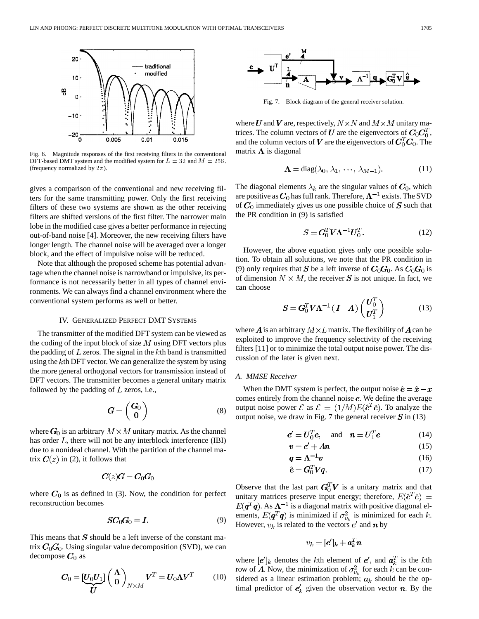

Fig. 6. Magnitude responses of the first receiving filters in the conventional DFT-based DMT system and the modified system for  $L = 32$  and  $M = 256$ . (frequency normalized by  $2\pi$ ).

gives a comparison of the conventional and new receiving filters for the same transmitting power. Only the first receiving filters of these two systems are shown as the other receiving filters are shifted versions of the first filter. The narrower main lobe in the modified case gives a better performance in rejecting out-of-band noise [4]. Moreover, the new receiving filters have longer length. The channel noise will be averaged over a longer block, and the effect of impulsive noise will be reduced.

Note that although the proposed scheme has potential advantage when the channel noise is narrowband or impulsive, its performance is not necessarily better in all types of channel environments. We can always find a channel environment where the conventional system performs as well or better.

## IV. GENERALIZED PERFECT DMT SYSTEMS

The transmitter of the modified DFT system can be viewed as the coding of the input block of size  $M$  using DFT vectors plus the padding of  $L$  zeros. The signal in the  $k$ th band is transmitted using the  $k$ th DFT vector. We can generalize the system by using the more general orthogonal vectors for transmission instead of DFT vectors. The transmitter becomes a general unitary matrix followed by the padding of  $L$  zeros, i.e.,

$$
\boldsymbol{G} = \begin{pmatrix} G_0 \\ 0 \end{pmatrix} \tag{8}
$$

where  $G_0$  is an arbitrary  $M \times M$  unitary matrix. As the channel has order  $L$ , there will not be any interblock interference (IBI) due to a nonideal channel. With the partition of the channel matrix  $\mathbf{C}(z)$  in (2), it follows that

$$
\boldsymbol{C}(z)\boldsymbol{G}=\boldsymbol{C}_0\boldsymbol{G}_0
$$

where  $C_0$  is as defined in (3). Now, the condition for perfect reconstruction becomes

$$
SC_0G_0 = I. \tag{9}
$$

This means that  $S$  should be a left inverse of the constant matrix  $C_0$  $G_0$ . Using singular value decomposition (SVD), we can decompose  $C_0$  as

$$
C_0 = \underbrace{[U_0 U_1]}_{U} \left(\begin{array}{c} \Lambda \\ 0 \end{array}\right)_{N \times M} V^T = U_0 \Lambda V^T \tag{10}
$$



Fig. 7. Block diagram of the general receiver solution.

where U and V are, respectively,  $N \times N$  and  $M \times M$  unitary matrices. The column vectors of U are the eigenvectors of  $C_0C_0^T$ , and the column vectors of V are the eigenvectors of  $C_0^T C_0$ . The matrix  $\Lambda$  is diagonal

$$
\Lambda = \text{diag}(\lambda_0, \lambda_1, \cdots, \lambda_{M-1}).
$$
 (11)

The diagonal elements  $\lambda_k$  are the singular values of  $C_0$ , which are positive as  $C_0$  has full rank. Therefore,  $\Lambda^{-1}$  exists. The SVD of  $C_0$  immediately gives us one possible choice of  $S$  such that the PR condition in (9) is satisfied

$$
\mathbf{S} = \mathbf{G}_0^T \mathbf{V} \mathbf{\Lambda}^{-1} \mathbf{U}_0^T. \tag{12}
$$

However, the above equation gives only one possible solution. To obtain all solutions, we note that the PR condition in (9) only requires that **S** be a left inverse of  $C_0G_0$ . As  $C_0G_0$  is of dimension  $N \times M$ , the receiver S is not unique. In fact, we can choose

$$
S = G_0^T V \Lambda^{-1} \begin{pmatrix} I & A \end{pmatrix} \begin{pmatrix} U_0^I \\ U_1^T \end{pmatrix} \tag{13}
$$

where **A** is an arbitrary  $M \times L$  matrix. The flexibility of **A** can be exploited to improve the frequency selectivity of the receiving filters [11] or to minimize the total output noise power. The discussion of the later is given next.

## *A. MMSE Receiver*

When the DMT system is perfect, the output noise  $\hat{e} = \hat{x} - x$ comes entirely from the channel noise  $e$ . We define the average output noise power  $\mathcal E$  as  $\mathcal E = (1/M)E(\hat e^T \hat e)$ . To analyze the output noise, we draw in Fig. 7 the general receiver  $S$  in (13)

$$
e' = U_0^T e, \quad \text{and} \quad n = U_1^T e \tag{14}
$$

$$
v = e' + A\mathbf{n} \tag{15}
$$

$$
q = \Lambda^{-1} v \tag{16}
$$

$$
\dot{\mathbf{e}} = \mathbf{G}_0^T \mathbf{V} \mathbf{q}.\tag{17}
$$

Observe that the last part  $G_0^T V$  is a unitary matrix and that unitary matrices preserve input energy; therefore,  $E(\hat{\boldsymbol{e}}^T \hat{\boldsymbol{e}})$  =  $E(\boldsymbol{q}^T\boldsymbol{q})$ . As  $\boldsymbol{\Lambda}^{-1}$  is a diagonal matrix with positive diagonal elements,  $E(q^Tq)$  is minimized if  $\sigma_{v_k}^2$  is minimized for each k. However,  $v_k$  is related to the vectors  $e'$  and  $n$  by

$$
v_k = [\bm{e}']_k + \bm{a}_k^T\bm{n}
$$

where  $\left[\mathbf{e}'\right]_k$  denotes the kth element of  $\mathbf{e}'$ , and  $\mathbf{a}_k^T$  is the kth row of A. Now, the minimization of  $\sigma_{v_i}^2$  for each k can be considered as a linear estimation problem;  $a_k$  should be the optimal predictor of  $e'_{k}$  given the observation vector **n**. By the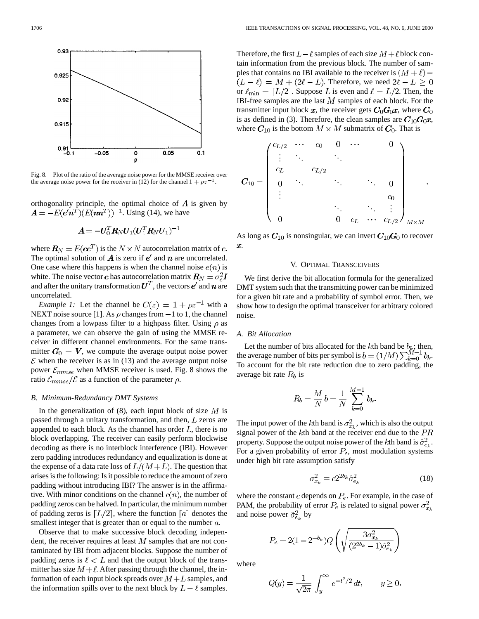

Fig. 8. Plot of the ratio of the average noise power for the MMSE receiver over the average noise power for the receiver in (12) for the channel  $1 + \rho z^{-1}$ .

orthogonality principle, the optimal choice of  $\boldsymbol{A}$  is given by  $\mathbf{A} = -E(e^t \mathbf{n}^T)(E(\mathbf{n}\mathbf{n}^T))^{-1}$ . Using (14), we have

$$
\boldsymbol{A} = -\boldsymbol{U}_0^T \boldsymbol{R}_N \boldsymbol{U}_1 (\boldsymbol{U}_1^T \boldsymbol{R}_N \boldsymbol{U}_1)^{-1}
$$

where  $\mathbf{R}_N = E(\mathbf{e}e^T)$  is the  $N \times N$  autocorrelation matrix of  $\mathbf{e}$ . The optimal solution of  $\vec{A}$  is zero if  $e'$  and  $\vec{n}$  are uncorrelated. One case where this happens is when the channel noise  $e(n)$  is white. The noise vector *e* has autocorrelation matrix  $\mathbf{R}_N = \sigma_e^2 \mathbf{I}$ and after the unitary transformation  $U^T$ , the vectors  $e'$  and  $n$  are uncorrelated.

*Example 1:* Let the channel be  $C(z) = 1 + \rho z^{-1}$  with a NEXT noise source [1]. As  $\rho$  changes from  $-1$  to 1, the channel changes from a lowpass filter to a highpass filter. Using  $\rho$  as a parameter, we can observe the gain of using the MMSE receiver in different channel environments. For the same transmitter  $G_0 = V$ , we compute the average output noise power  $\mathcal E$  when the receiver is as in (13) and the average output noise power  $\mathcal{E}_{mmse}$  when MMSE receiver is used. Fig. 8 shows the ratio  $\mathcal{E}_{mmse}/\mathcal{E}$  as a function of the parameter  $\rho$ .

#### *B. Minimum-Redundancy DMT Systems*

In the generalization of  $(8)$ , each input block of size M is passed through a unitary transformation, and then,  $L$  zeros are appended to each block. As the channel has order  $L$ , there is no block overlapping. The receiver can easily perform blockwise decoding as there is no interblock interference (IBI). However zero padding introduces redundancy and equalization is done at the expense of a data rate loss of  $L/(M+L)$ . The question that arises is the following: Is it possible to reduce the amount of zero padding without introducing IBI? The answer is in the affirmative. With minor conditions on the channel  $c(n)$ , the number of padding zeros can be halved. In particular, the minimum number of padding zeros is  $[L/2]$ , where the function  $[a]$  denotes the smallest integer that is greater than or equal to the number  $a$ .

Observe that to make successive block decoding independent, the receiver requires at least  $M$  samples that are not contaminated by IBI from adjacent blocks. Suppose the number of padding zeros is  $\ell < L$  and that the output block of the transmitter has size  $M + \ell$ . After passing through the channel, the information of each input block spreads over  $M + L$  samples, and the information spills over to the next block by  $L - \ell$  samples. Therefore, the first  $L - \ell$  samples of each size  $M + \ell$  block contain information from the previous block. The number of samples that contains no IBI available to the receiver is  $(M + \ell)$  –  $(L - \ell) = M + (2\ell - L)$ . Therefore, we need  $2\ell - L \geq 0$ or  $\ell_{\min} = [L/2]$ . Suppose L is even and  $\ell = L/2$ . Then, the IBI-free samples are the last  $M$  samples of each block. For the transmitter input block x, the receiver gets  $C_0G_0x$ , where  $C_0$ is as defined in (3). Therefore, the clean samples are  $C_{10}G_0x$ , where  $C_{10}$  is the bottom  $M \times M$  submatrix of  $C_0$ . That is

$$
\pmb{C}_{10}=\left(\begin{array}{cccccc} c_{L/2} & \cdots & c_{0} & 0 & \cdots & & 0 \\ \vdots & \ddots & & \ddots & & \\ c_{L} & & c_{L/2} & & & \\ 0 & \ddots & & \ddots & \ddots & 0 \\ \vdots & & & & c_{0} & \\ \vdots & & & & \ddots & \vdots \\ 0 & & & 0 & c_{L} & \cdots & c_{L/2} \end{array}\right)_{M\times M}
$$

As long as  $C_{10}$  is nonsingular, we can invert  $C_{10}G_0$  to recover  $\pmb{x}.$ 

## V. OPTIMAL TRANSCEIVERS

We first derive the bit allocation formula for the generalized DMT system such that the transmitting power can be minimized for a given bit rate and a probability of symbol error. Then, we show how to design the optimal transceiver for arbitrary colored noise.

## *A. Bit Allocation*

Let the number of bits allocated for the kth band be  $b_k$ ; then, the average number of bits per symbol is  $b = (1/M) \sum_{k=0}^{M-1} b_k$ . To account for the bit rate reduction due to zero padding, the average bit rate  $R_b$  is

$$
R_b = \frac{M}{N} b = \frac{1}{N} \sum_{k=0}^{M-1} b_k.
$$

The input power of the kth band is  $\sigma_{x_k}^2$ , which is also the output signal power of the  $k$ th band at the receiver end due to the  $PR$ property. Suppose the output noise power of the kth band is  $\hat{\sigma}_{e_k}^2$ . For a given probability of error  $P_e$ , most modulation systems under high bit rate assumption satisfy

$$
\sigma_{x_k}^2 = c 2^{2b_k} \hat{\sigma}_{e_k}^2 \tag{18}
$$

where the constant c depends on  $P_e$ . For example, in the case of PAM, the probability of error  $P_e$  is related to signal power  $\sigma_{x_k}^2$ and noise power  $\hat{\sigma}_{e_k}^2$  by

$$
P_e = 2(1 - 2^{-b_k})Q\left(\sqrt{\frac{3\sigma_{x_k}^2}{(2^{2b_k} - 1)\hat{\sigma}_{e_k}^2}}\right)
$$

where

$$
Q(y) = \frac{1}{\sqrt{2\pi}} \int_{y}^{\infty} e^{-t^2/2} dt, \qquad y \ge 0
$$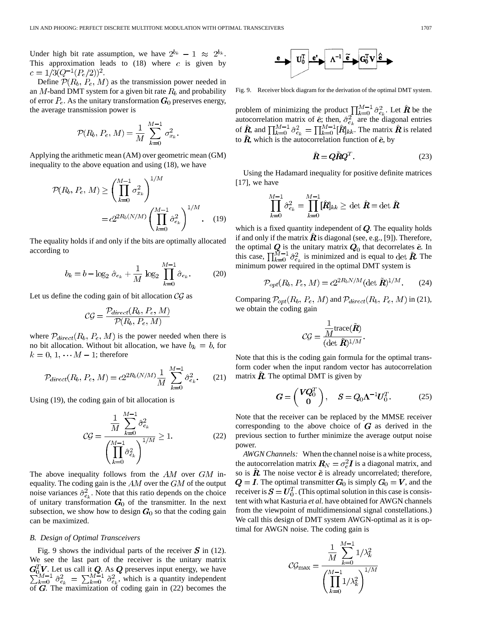Under high bit rate assumption, we have  $2^{b_k} - 1 \approx 2^{b_k}$ . This approximation leads to  $(18)$  where c is given by  $c = 1/3(Q^{-1}(P_e/2))^2$ .

Define  $P(R_b, P_e, M)$  as the transmission power needed in an M-band DMT system for a given bit rate  $R_b$  and probability of error  $P_e$ . As the unitary transformation  $G_0$  preserves energy, the average transmission power is

$$
\mathcal{P}(R_b, P_e, M) = \frac{1}{M} \sum_{k=0}^{M-1} \sigma_{x_k}^2.
$$

Applying the arithmetic mean (AM) over geometric mean (GM) inequality to the above equation and using (18), we have

$$
\mathcal{P}(R_b, P_e, M) \ge \left(\prod_{k=0}^{M-1} \sigma_{x_k}^2\right)^{1/M}
$$

$$
= c2^{2R_b(N/M)} \left(\prod_{k=0}^{M-1} \hat{\sigma}_{e_k}^2\right)^{1/M}.
$$
 (19)

The equality holds if and only if the bits are optimally allocated according to

$$
b_k = b - \log_2 \hat{\sigma}_{e_k} + \frac{1}{M} \log_2 \prod_{k=0}^{M-1} \hat{\sigma}_{e_k}.
$$
 (20)

Let us define the coding gain of bit allocation  $\mathcal{CG}$  as

$$
CG = \frac{\mathcal{P}_{direct}(R_b, P_e, M)}{\mathcal{P}(R_b, P_e, M)}
$$

where  $P_{direct}(R_b, P_e, M)$  is the power needed when there is no bit allocation. Without bit allocation, we have  $b_k = b$ , for  $k = 0, 1, \cdots M - 1$ ; therefore

$$
\mathcal{P}_{direct}(R_b, P_e, M) = c2^{2R_b(N/M)} \frac{1}{M} \sum_{k=0}^{M-1} \hat{\sigma}_{e_k}^2.
$$
 (21)

Using (19), the coding gain of bit allocation is

$$
C\mathcal{G} = \frac{\frac{1}{M} \sum_{k=0}^{M-1} \hat{\sigma}_{e_k}^2}{\left(\prod_{k=0}^{M-1} \hat{\sigma}_{e_k}^2\right)^{1/M}} \ge 1.
$$
 (22)

The above inequality follows from the  $AM$  over  $GM$  inequality. The coding gain is the  $AM$  over the  $GM$  of the output noise variances  $\hat{\sigma}_{e_k}^2$ . Note that this ratio depends on the choice of unitary transformation  $G_0$  of the transmitter. In the next subsection, we show how to design  $G_0$  so that the coding gain can be maximized.

#### *B. Design of Optimal Transceivers*

Fig. 9 shows the individual parts of the receiver  $\boldsymbol{S}$  in (12). We see the last part of the receiver is the unitary matrix . Let us call it  $Q$ . As  $Q$  preserves input energy, we have , which is a quantity independent of  $G$ . The maximization of coding gain in (22) becomes the

$$
\overset{\mathbf{e}}{\longrightarrow} \boxed{\mathbf{U}_{0}^{\mathrm{T}} \mid \mathbf{e}^{\mathrm{r}} \longrightarrow \Lambda^{-1} \mid \widetilde{\mathbf{e}} \longrightarrow \boxed{\mathbf{G}_{0}^{\mathrm{T}} \mathbf{V} \mid \hat{\mathbf{e}}}
$$

Fig. 9. Receiver block diagram for the derivation of the optimal DMT system.

problem of minimizing the product  $\prod_{k=0}^{M-1} \hat{\sigma}_{e_k}^2$ . Let  $\hat{R}$  be the autocorrelation matrix of  $\hat{e}$ ; then,  $\hat{\sigma}^2_{e}$  are the diagonal entries of R, and  $\prod_{k=0}^{M-1} \hat{\sigma}_{e_k}^2 = \prod_{k=0}^{M-1} [R]_{kk}$ . The matrix R is related to  $\mathbf{R}$ , which is the autocorrelation function of  $\tilde{\mathbf{e}}$ , by

$$
\hat{\mathbf{R}} = \mathbf{Q}\tilde{\mathbf{R}}\mathbf{Q}^T. \tag{23}
$$

Using the Hadamard inequality for positive definite matrices [17], we have

$$
\prod_{k=0}^{M-1} \hat{\sigma}_{e_k}^2 = \prod_{k=0}^{M-1} [\hat{R}]_{kk} \geq \det \hat{R} = \det \tilde{R}
$$

which is a fixed quantity independent of  $Q$ . The equality holds if and only if the matrix  $\vec{R}$  is diagonal (see, e.g., [9]). Therefore, the optimal  $Q$  is the unitary matrix  $Q_0$  that decorrelates  $\tilde{e}$ . In this case,  $\prod_{k=0}^{M-1} \hat{\sigma}_{e_k}^2$  is minimized and is equal to det R. The minimum power required in the optimal DMT system is

$$
\mathcal{P}_{opt}(R_b, P_e, M) = c2^{2R_b N/M} (\det \tilde{\bm{R}})^{1/M}.
$$
 (24)

Comparing  $\mathcal{P}_{opt}(R_b, P_e, M)$  and  $\mathcal{P}_{direct}(R_b, P_e, M)$  in (21), we obtain the coding gain

$$
\mathcal{CG} = \frac{\displaystyle\frac{1}{M} \text{trace}(\tilde{\bm{R}})}{(\det \, \tilde{\bm{R}})^{1/M}}.
$$

Note that this is the coding gain formula for the optimal transform coder when the input random vector has autocorrelation matrix  $\vec{R}$ . The optimal DMT is given by

$$
G = \begin{pmatrix} VQ_0^T \\ 0 \end{pmatrix}, \quad S = Q_0 \Lambda^{-1} U_0^T. \tag{25}
$$

Note that the receiver can be replaced by the MMSE receiver corresponding to the above choice of  $G$  as derived in the previous section to further minimize the average output noise power.

*AWGN Channels:* When the channel noise is a white process, the autocorrelation matrix  $\boldsymbol{R}_N = \sigma_e^2 \boldsymbol{I}$  is a diagonal matrix, and so is  $\tilde{R}$ . The noise vector  $\tilde{e}$  is already uncorrelated; therefore,  $Q = I$ . The optimal transmitter  $G_0$  is simply  $G_0 = V$ , and the receiver is  $S = U_0^T$ . (This optimal solution in this case is consistent with what Kasturia *et al.* have obtained for AWGN channels from the viewpoint of multidimensional signal constellations.) We call this design of DMT system AWGN-optimal as it is optimal for AWGN noise. The coding gain is

$$
C\mathcal{G}_{\max} = \frac{\frac{1}{M} \sum_{k=0}^{M-1} 1/\lambda_k^2}{\left(\prod_{k=0}^{M-1} 1/\lambda_k^2\right)^{1/M}}
$$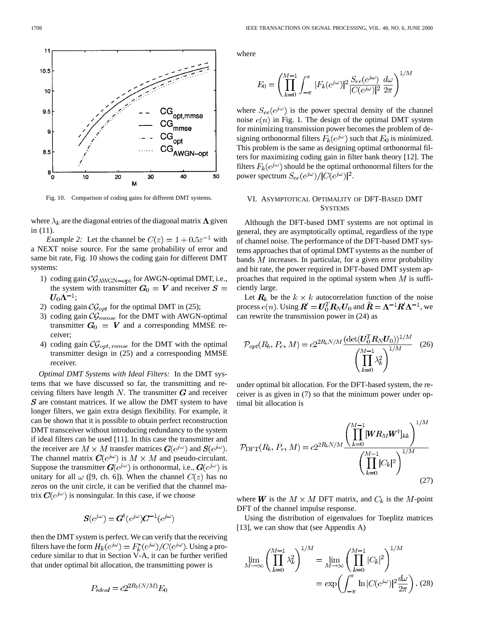

Fig. 10. Comparison of coding gains for different DMT systems.

where  $\lambda_k$  are the diagonal entries of the diagonal matrix  $\Lambda$  given in (11).

*Example 2:* Let the channel be  $C(z) = 1 + 0.5z^{-1}$  with a NEXT noise source. For the same probability of error and same bit rate, Fig. 10 shows the coding gain for different DMT systems:

- 1) coding gain  $\mathcal{CG}_{\text{AWGN-opt}}$  for AWGN-optimal DMT, i.e., the system with transmitter  $G_0 = V$  and receiver  $S =$  $U_0\Lambda^{-1};$
- 2) coding gain  $\mathcal{CG}_{opt}$  for the optimal DMT in (25);
- 3) coding gain  $\mathcal{CG}_{mmse}$  for the DMT with AWGN-optimal transmitter  $G_0 = V$  and a corresponding MMSE receiver;
- 4) coding gain  $\mathcal{CG}_{opt,mmse}$  for the DMT with the optimal transmitter design in (25) and a corresponding MMSE receiver.

*Optimal DMT Systems with Ideal Filters:* In the DMT systems that we have discussed so far, the transmitting and receiving filters have length  $N$ . The transmitter  $G$  and receiver  $S$  are constant matrices. If we allow the DMT system to have longer filters, we gain extra design flexibility. For example, it can be shown that it is possible to obtain perfect reconstruction DMT transceiver without introducing redundancy to the system if ideal filters can be used [11]. In this case the transmitter and the receiver are  $M \times M$  transfer matrices  $\mathbf{G}(e^{j\omega})$  and  $\mathbf{S}(e^{j\omega})$ . The channel matrix  $C(e^{j\omega})$  is  $M \times M$  and pseudo-circulant. Suppose the transmitter  $G(e^{j\omega})$  is orthonormal, i.e.,  $G(e^{j\omega})$  is unitary for all  $\omega$  ([9, ch. 6]). When the channel  $C(z)$  has no zeros on the unit circle, it can be verified that the channel matrix  $C(e^{j\omega})$  is nonsingular. In this case, if we choose

$$
S(e^{j\omega}) = G^{\dagger}(e^{j\omega})C^{-1}(e^{j\omega})
$$

then the DMT system is perfect. We can verify that the receiving filters have the form  $H_k(e^{j\omega}) = F_k^*(e^{j\omega})/C(e^{j\omega})$ . Using a procedure similar to that in Section V-A, it can be further verified that under optimal bit allocation, the transmitting power is

$$
P_{ideal} = c2^{2R_b(N/M)}E_0
$$

where

$$
E_0 = \left(\prod_{k=0}^{M-1} \int_{-\pi}^{\pi} |F_k(e^{j\omega})|^2 \frac{S_{ee}(e^{j\omega})}{|C(e^{j\omega})|^2} \frac{d\omega}{2\pi}\right)^{1/M}
$$

where  $S_{ee}(e^{j\omega})$  is the power spectral density of the channel noise  $e(n)$  in Fig. 1. The design of the optimal DMT system for minimizing transmission power becomes the problem of designing orthonormal filters  $F_k(e^{j\omega})$  such that  $E_0$  is minimized. This problem is the same as designing optimal orthonormal filters for maximizing coding gain in filter bank theory [12]. The filters  $F_k(e^{j\omega})$  should be the optimal orthonormal filters for the power spectrum  $S_{ee}(e^{j\omega})/|C(e^{j\omega})|^2$ .

# VI. ASYMPTOTICAL OPTIMALITY OF DFT-BASED DMT **SYSTEMS**

Although the DFT-based DMT systems are not optimal in general, they are asymptotically optimal, regardless of the type of channel noise. The performance of the DFT-based DMT systems approaches that of optimal DMT systems as the number of bands  $M$  increases. In particular, for a given error probability and bit rate, the power required in DFT-based DMT system approaches that required in the optimal system when  $M$  is sufficiently large.

Let  $R_k$  be the  $k \times k$  autocorrelation function of the noise process  $e(n)$ . Using  $\mathbf{R}' = \mathbf{U}_0^T \mathbf{R}_N \mathbf{U}_0$  and  $\tilde{\mathbf{R}} = \mathbf{\Lambda}^{-1} \mathbf{R}' \mathbf{\Lambda}^{-1}$ , we can rewrite the transmission power in (24) as

$$
\mathcal{P}_{opt}(R_b, P_e, M) = c2^{2R_b N/M} \frac{(\det(U_0^T R_N U_0))^{1/M}}{\left(\prod_{k=0}^{M-1} \lambda_k^2\right)^{1/M}}
$$
(26)

under optimal bit allocation. For the DFT-based system, the receiver is as given in (7) so that the minimum power under optimal bit allocation is

$$
\mathcal{P}_{\text{DFT}}(R_b, P_e, M) = c2^{2R_bN/M} \frac{\left(\prod_{k=0}^{M-1} [\boldsymbol{W} \boldsymbol{R}_M \boldsymbol{W}^\dagger]_{kk}\right)^{1/M}}{\left(\prod_{k=0}^{M-1} |C_k|^2\right)^{1/M}}
$$
\n(27)

where W is the  $M \times M$  DFT matrix, and  $C_k$  is the M-point DFT of the channel impulse response.

Using the distribution of eigenvalues for Toeplitz matrices [13], we can show that (see Appendix A)

$$
\lim_{M \to \infty} \left( \prod_{k=0}^{M-1} \lambda_k^2 \right)^{1/M} = \lim_{M \to \infty} \left( \prod_{k=0}^{M-1} |C_k|^2 \right)^{1/M}
$$

$$
= \exp \left( \int_{-\pi}^{\pi} \ln |C(e^{j\omega})|^2 \frac{d\omega}{2\pi} \right). (28)
$$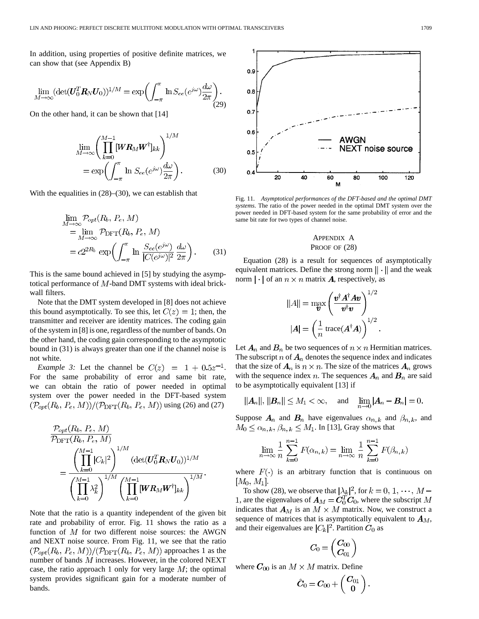In addition, using properties of positive definite matrices, we can show that (see Appendix B)

$$
\lim_{M \to \infty} (\det(\boldsymbol{U}_0^T \boldsymbol{R}_N \boldsymbol{U}_0))^{1/M} = \exp\biggl(\int_{-\pi}^{\pi} \ln S_{ee}(e^{j\omega}) \frac{d\omega}{2\pi}\biggr). \tag{29}
$$

On the other hand, it can be shown that [14]

$$
\lim_{M \to \infty} \left( \prod_{k=0}^{M-1} [WR_M W^{\dagger}]_{kk} \right)^{1/M}
$$
\n
$$
= \exp \left( \int_{-\pi}^{\pi} \ln S_{ee} (e^{j\omega}) \frac{d\omega}{2\pi} \right). \tag{30}
$$

With the equalities in (28)–(30), we can establish that

$$
\lim_{M \to \infty} \mathcal{P}_{opt}(R_b, P_e, M)
$$
\n
$$
= \lim_{M \to \infty} \mathcal{P}_{\text{DFT}}(R_b, P_e, M)
$$
\n
$$
= c2^{2R_b} \exp\left(\int_{-\pi}^{\pi} \ln \frac{S_{ee}(e^{j\omega})}{|C(e^{j\omega})|^2} \frac{d\omega}{2\pi}\right).
$$
\n(31)

This is the same bound achieved in [5] by studying the asymptotical performance of  $M$ -band DMT systems with ideal brickwall filters.

Note that the DMT system developed in [8] does not achieve this bound asymptotically. To see this, let  $C(z) = 1$ ; then, the transmitter and receiver are identity matrices. The coding gain of the system in [8] is one, regardless of the number of bands. On the other hand, the coding gain corresponding to the asymptotic bound in (31) is always greater than one if the channel noise is not white.

*Example 3:* Let the channel be  $C(z) = 1 + 0.5z^{-1}$ . For the same probability of error and same bit rate, we can obtain the ratio of power needed in optimal system over the power needed in the DFT-based system  $(\mathcal{P}_{opt}(R_b, P_e, M))/(\mathcal{P}_{\text{DFT}}(R_b, P_e, M))$  using (26) and (27)



Note that the ratio is a quantity independent of the given bit rate and probability of error. Fig. 11 shows the ratio as a function of  $M$  for two different noise sources: the AWGN and NEXT noise source. From Fig. 11, we see that the ratio  $(\mathcal{P}_{opt}(R_b, P_e, M))/(\mathcal{P}_{\text{DFT}}(R_b, P_e, M))$  approaches 1 as the number of bands  $M$  increases. However, in the colored NEXT case, the ratio approach 1 only for very large  $M$ ; the optimal system provides significant gain for a moderate number of bands.



Fig. 11. *Asymptotical performances of the DFT-based and the optimal DMT systems*. The ratio of the power needed in the optimal DMT system over the power needed in DFT-based system for the same probability of error and the same bit rate for two types of channel noise.

# APPENDIX A PROOF OF  $(28)$

Equation (28) is a result for sequences of asymptotically equivalent matrices. Define the strong norm  $\|\cdot\|$  and the weak norm  $|\cdot|$  of an  $n \times n$  matrix **A**, respectively, as

$$
||A|| = \max_{\boldsymbol{v}} \left( \frac{\boldsymbol{v}^{\dagger} \boldsymbol{A}^{\dagger} \boldsymbol{A} \boldsymbol{v}}{\boldsymbol{v}^{\dagger} \boldsymbol{v}} \right)^{1/2}
$$

$$
|\boldsymbol{A}| = \left( \frac{1}{n} \operatorname{trace}(\boldsymbol{A}^{\dagger} \boldsymbol{A}) \right)^{1/2}.
$$

Let  $A_n$  and  $B_n$  be two sequences of  $n \times n$  Hermitian matrices. The subscript n of  $A_n$  denotes the sequence index and indicates that the size of  $A_n$  is  $n \times n$ . The size of the matrices  $A_n$  grows with the sequence index n. The sequences  $A_n$  and  $B_n$  are said to be asymptotically equivalent [13] if

$$
||A_n||, ||B_n|| \le M_1 < \infty
$$
, and  $\lim_{n \to 0} |A_n - B_n| = 0$ .

Suppose  $A_n$  and  $B_n$  have eigenvalues  $\alpha_{n,k}$  and  $\beta_{n,k}$ , and  $M_0 \leq \alpha_{n,k}, \beta_{n,k} \leq M_1$ . In [13], Gray shows that

$$
\lim_{n \to \infty} \frac{1}{n} \sum_{k=0}^{n-1} F(\alpha_{n,k}) = \lim_{n \to \infty} \frac{1}{n} \sum_{k=0}^{n-1} F(\beta_{n,k})
$$

where  $F(\cdot)$  is an arbitrary function that is continuous on  $[M_0, M_1]$ .

To show (28), we observe that  $|\lambda_k|^2$ , for  $k = 0, 1, \dots, M$  – 1, are the eigenvalues of  $A_M = C_0^T C_0$ , where the subscript M indicates that  $A_M$  is an  $M \times M$  matrix. Now, we construct a sequence of matrices that is asymptotically equivalent to  $A_M$ , and their eigenvalues are  $|C_k|^2$ . Partition  $C_0$  as

$$
\boldsymbol{C_0}=\left(\begin{matrix}\boldsymbol{C_{00}}\\ \boldsymbol{C_{01}}\end{matrix}\right)
$$

where  $C_{00}$  is an  $M \times M$  matrix. Define

$$
\hat{\boldsymbol{C}}_0 = \boldsymbol{C}_{00} + \left(\begin{array}{c} \boldsymbol{C}_{01} \\ \boldsymbol{0} \end{array}\right)
$$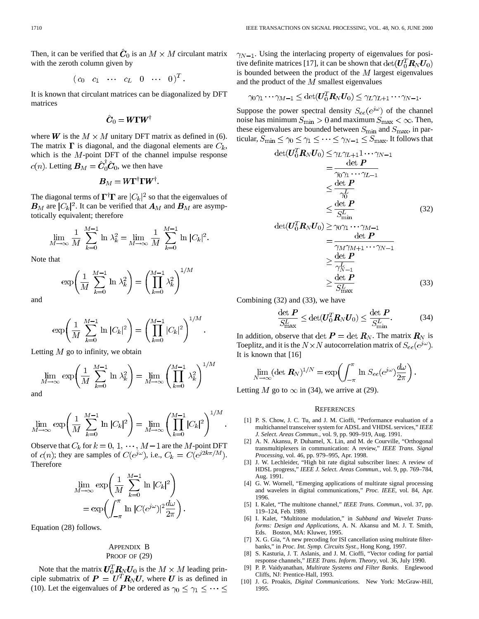Then, it can be verified that  $\hat{C}_0$  is an  $M \times M$  circulant matrix with the zeroth column given by

$$
\left(\begin{array}{ccccccccc}c_0 & c_1 & \cdots & c_L & 0 & \cdots & 0\end{array}\right)^T.
$$

It is known that circulant matrices can be diagonalized by DFT matrices

$$
\hat{\boldsymbol{C}}_0 = \boldsymbol{W}\boldsymbol{\Gamma}\boldsymbol{W}^\dagger
$$

where **W** is the  $M \times M$  unitary DFT matrix as defined in (6). The matrix  $\Gamma$  is diagonal, and the diagonal elements are  $C_k$ , which is the  $M$ -point DFT of the channel impulse response  $c(n)$ . Letting  $B_M = \hat{C}_0^{\dagger} \hat{C}_0$ , we then have

$$
\boldsymbol{B}_M = \boldsymbol{W} \boldsymbol{\Gamma}^\dagger \boldsymbol{\Gamma} \boldsymbol{W}^\dagger.
$$

The diagonal terms of  $\mathbf{\Gamma}^{\dagger} \mathbf{\Gamma}$  are  $|C_k|^2$  so that the eigenvalues of  $B_M$  are  $|C_k|^2$ . It can be verified that  $A_M$  and  $B_M$  are asymptotically equivalent; therefore

$$
\lim_{M \to \infty} \frac{1}{M} \sum_{k=0}^{M-1} \ln \lambda_k^2 = \lim_{M \to \infty} \frac{1}{M} \sum_{k=0}^{M-1} \ln |C_k|^2.
$$

Note that

$$
\exp\left(\frac{1}{M}\sum_{k=0}^{M-1}\,\ln\,\lambda_k^2\right) = \left(\prod_{k=0}^{M-1}\,\lambda_k^2\right)^{1/M}
$$

and

$$
\exp\left(\frac{1}{M}\sum_{k=0}^{M-1}\ln|C_k|^2\right) = \left(\prod_{k=0}^{M-1}|C_k|^2\right)^{1/M}.
$$

Letting  $M$  go to infinity, we obtain

$$
\lim_{M \to \infty} \exp\left(\frac{1}{M} \sum_{k=0}^{M-1} \ln \lambda_k^2\right) = \lim_{M \to \infty} \left(\prod_{k=0}^{M-1} \lambda_k^2\right)^{1/M}
$$

and

$$
\lim_{M \to \infty} \exp \left( \frac{1}{M} \sum_{k=0}^{M-1} \ln |C_k|^2 \right) = \lim_{M \to \infty} \left( \prod_{k=0}^{M-1} |C_k|^2 \right)^{1/M}
$$

Observe that  $C_k$  for  $k = 0, 1, \dots, M-1$  are the M-point DFT of  $c(n)$ ; they are samples of  $C(e^{j\omega})$ , i.e.,  $C_k = C(e^{j2k\pi/M})$ . Therefore

$$
\lim_{M \to \infty} \exp\left(\frac{1}{M} \sum_{k=0}^{M-1} \ln |C_k|^2\right)
$$
  
= 
$$
\exp\left(\int_{-\pi}^{\pi} \ln |C(e^{j\omega})|^2 \frac{d\omega}{2\pi}\right).
$$

Equation (28) follows.

# APPENDIX B PROOF OF  $(29)$

Note that the matrix  $U_0^T R_N U_0$  is the  $M \times M$  leading principle submatrix of  $P = U^T R_N U$ , where U is as defined in (10). Let the eigenvalues of P be ordered as  $\gamma_0 \leq \gamma_1 \leq \cdots \leq$   $\gamma_{N-1}$ . Using the interlacing property of eigenvalues for positive definite matrices [17], it can be shown that  $\det(U_0^T R_N U_0)$ is bounded between the product of the  $M$  largest eigenvalues and the product of the  $M$  smallest eigenvalues

$$
\gamma_0\gamma_1\cdots\gamma_{M-1}\leq \det(U_0^T R_N U_0)\leq \gamma_L\gamma_{L+1}\cdots\gamma_{N-1}.
$$

Suppose the power spectral density  $S_{ee}(e^{j\omega})$  of the channel noise has minimum  $S_{\text{min}} > 0$  and maximum  $S_{\text{max}} < \infty$ . Then, these eigenvalues are bounded between  $S_{\text{min}}$  and  $S_{\text{max}}$ , in particular,  $S_{\min} \leq \gamma_0 \leq \gamma_1 \leq \cdots \leq \gamma_{N-1} \leq S_{\max}.$  It follows that

$$
\det(U_0^T \mathbf{R}_N U_0) \leq \gamma_L \gamma_{L+1} \cdots \gamma_{N-1}
$$
\n
$$
= \frac{\det \mathbf{P}}{\gamma_0 \gamma_1 \cdots \gamma_{L-1}}
$$
\n
$$
\leq \frac{\det \mathbf{P}}{\gamma_0^L}
$$
\n
$$
\leq \frac{\det \mathbf{P}}{S_{\text{min}}^L}
$$
\n(32)

$$
\det(U_0^T \mathbf{R}_N U_0) \ge \gamma_0 \gamma_1 \cdots \gamma_{M-1}
$$
\n
$$
= \frac{\det P}{\gamma_M \gamma_{M+1} \cdots \gamma_{N-1}}
$$
\n
$$
\ge \frac{\det P}{\gamma_{N-1}^L}
$$
\n
$$
\ge \frac{\det P}{S_{\text{max}}^L}
$$
\n(33)

Combining (32) and (33), we have

$$
\frac{\det P}{S_{\text{max}}^L} \le \det(U_0^T R_N U_0) \le \frac{\det P}{S_{\text{min}}^L}.
$$
 (34)

In addition, observe that  $\det P = \det R_N$ . The matrix  $R_N$  is Toeplitz, and it is the  $N \times N$  autocorrelation matrix of  $S_{ee}(e^{j\omega})$ . It is known that [16]

$$
\lim_{N\to\infty} (\det \mathbf{R}_N)^{1/N} = \exp\left(\int_{-\pi}^{\pi} \ln S_{ee}(e^{j\omega}) \frac{d\omega}{2\pi}\right).
$$

Letting M go to  $\infty$  in (34), we arrive at (29).

#### **REFERENCES**

- [1] P. S. Chow, J. C. Tu, and J. M. Cioffi, "Performance evaluation of a multichannel transceiver system for ADSL and VHDSL services," *IEEE J. Select. Areas Commun.*, vol. 9, pp. 909–919, Aug. 1991.
- [2] A. N. Akansu, P. Duhamel, X. Lin, and M. de Courville, "Orthogonal transmultiplexers in communication: A review," *IEEE Trans. Signal Processing*, vol. 46, pp. 979–995, Apr. 1998.
- [3] J. W. Lechleider, "High bit rate digital subscriber lines: A review of HDSL progress," *IEEE J. Select. Areas Commun.*, vol. 9, pp. 769–784, Aug. 1991.
- [4] G. W. Wornell, "Emerging applications of multirate signal processing and wavelets in digital communications," *Proc. IEEE*, vol. 84, Apr. 1996.
- [5] I. Kalet, "The multitone channel," *IEEE Trans. Commun.*, vol. 37, pp. 119–124, Feb. 1989.
- [6] I. Kalet, "Multitone modulation," in *Subband and Wavelet Transforms: Design and Applications*, A. N. Akansu and M. J. T. Smith, Eds. Boston, MA: Kluwer, 1995.
- [7] X. G. Gia, "A new precoding for ISI cancellation using multirate filterbanks," in *Proc. Int. Symp. Circuits Syst.*, Hong Kong, 1997.
- [8] S. Kasturia, J. T. Aslanis, and J. M. Cioffi, "Vector coding for partial response channels," *IEEE Trans. Inform. Theory*, vol. 36, July 1990.
- [9] P. P. Vaidyanathan, *Multirate Systems and Filter Banks*. Englewood Cliffs, NJ: Prentice-Hall, 1993.
- [10] J. G. Proakis, *Digital Communications*. New York: McGraw-Hill, 1995.